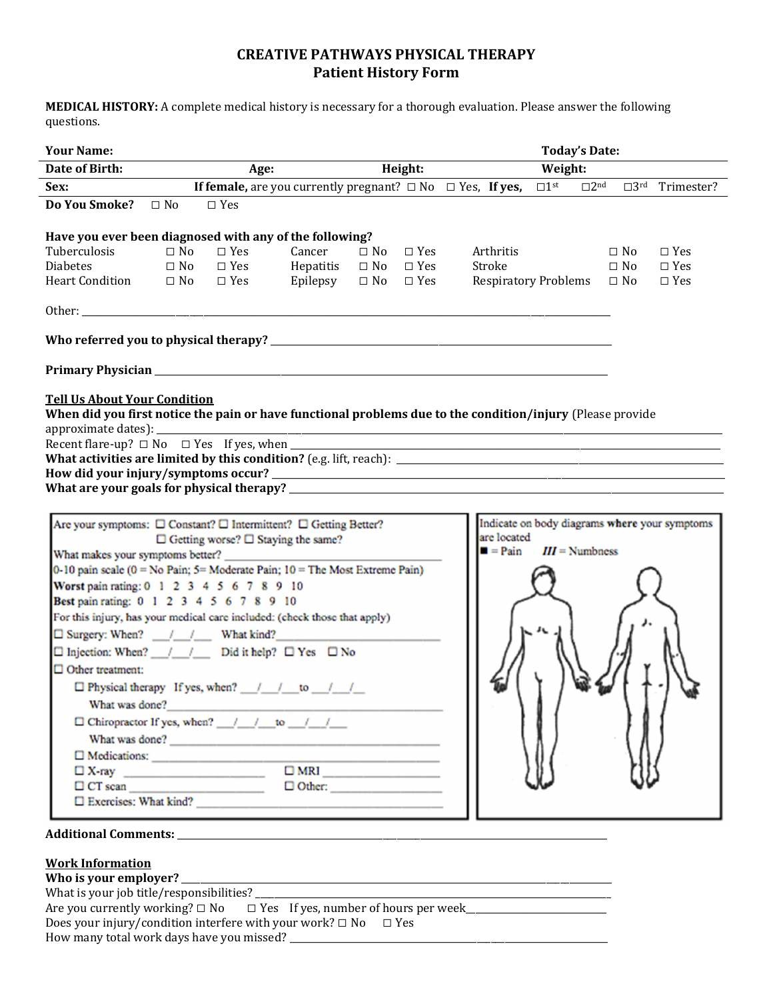## **CREATIVE PATHWAYS PHYSICAL THERAPY Patient History Form**

**MEDICAL HISTORY:** A complete medical history is necessary for a thorough evaluation. Please answer the following questions.

| <b>Your Name:</b>                                                                                          |           | <b>Today's Date:</b>                                                                                      |               |           |                      |         |                             |  |                  |                                                             |                                                                |
|------------------------------------------------------------------------------------------------------------|-----------|-----------------------------------------------------------------------------------------------------------|---------------|-----------|----------------------|---------|-----------------------------|--|------------------|-------------------------------------------------------------|----------------------------------------------------------------|
| Date of Birth:                                                                                             |           | Age:                                                                                                      |               | Height:   |                      | Weight: |                             |  |                  |                                                             |                                                                |
| Sex:                                                                                                       |           | <b>If female,</b> are you currently pregnant? $\Box$ No $\Box$ Yes, <b>If yes,</b> $\Box$ 1 <sup>st</sup> |               |           |                      |         |                             |  |                  |                                                             | $\square$ 2 <sup>nd</sup> $\square$ 3 <sup>rd</sup> Trimester? |
| Do You Smoke?                                                                                              | $\Box$ No | $\square$ Yes                                                                                             |               |           |                      |         |                             |  |                  |                                                             |                                                                |
| Have you ever been diagnosed with any of the following?                                                    |           |                                                                                                           |               |           |                      |         |                             |  |                  |                                                             |                                                                |
| Tuberculosis                                                                                               | $\Box$ No | $\Box$ Yes                                                                                                | Cancer        | $\Box$ No | $\Box$ Yes           |         | Arthritis                   |  |                  | $\square$ No                                                | $\Box$ Yes                                                     |
| <b>Diabetes</b>                                                                                            | $\Box$ No | $\Box$ Yes                                                                                                | Hepatitis     | $\Box$ No | $\Box$ Yes           |         | Stroke                      |  |                  | $\Box$ No                                                   | $\Box$ Yes                                                     |
| <b>Heart Condition</b>                                                                                     | $\Box$ No | $\Box$ Yes                                                                                                | Epilepsy      |           | $\Box$ No $\Box$ Yes |         | <b>Respiratory Problems</b> |  |                  | $\square$ No                                                | $\Box$ Yes                                                     |
|                                                                                                            |           |                                                                                                           |               |           |                      |         |                             |  |                  |                                                             |                                                                |
|                                                                                                            |           |                                                                                                           |               |           |                      |         |                             |  |                  |                                                             |                                                                |
|                                                                                                            |           |                                                                                                           |               |           |                      |         |                             |  |                  |                                                             |                                                                |
|                                                                                                            |           |                                                                                                           |               |           |                      |         |                             |  |                  |                                                             |                                                                |
| <b>Tell Us About Your Condition</b>                                                                        |           |                                                                                                           |               |           |                      |         |                             |  |                  |                                                             |                                                                |
| When did you first notice the pain or have functional problems due to the condition/injury (Please provide |           |                                                                                                           |               |           |                      |         |                             |  |                  |                                                             |                                                                |
|                                                                                                            |           |                                                                                                           |               |           |                      |         |                             |  |                  |                                                             |                                                                |
|                                                                                                            |           |                                                                                                           |               |           |                      |         |                             |  |                  | <u> 1989 - Johann Stoff, amerikansk politiker (d. 1989)</u> |                                                                |
|                                                                                                            |           |                                                                                                           |               |           |                      |         |                             |  |                  |                                                             |                                                                |
|                                                                                                            |           |                                                                                                           |               |           |                      |         |                             |  |                  |                                                             |                                                                |
| What are your goals for physical therapy?                                                                  |           |                                                                                                           |               |           |                      |         |                             |  |                  |                                                             |                                                                |
|                                                                                                            |           |                                                                                                           |               |           |                      |         |                             |  |                  |                                                             |                                                                |
| Are your symptoms: □ Constant? □ Intermittent? □ Getting Better?                                           |           |                                                                                                           |               |           |                      |         |                             |  |                  |                                                             | Indicate on body diagrams where your symptoms                  |
|                                                                                                            |           | $\Box$ Getting worse? $\Box$ Staying the same?                                                            |               |           |                      |         | are located                 |  |                  |                                                             |                                                                |
| What makes your symptoms better?                                                                           |           |                                                                                                           |               |           |                      |         | $\blacksquare$ = Pain       |  | $III =$ Numbness |                                                             |                                                                |
| 0-10 pain scale (0 = No Pain; 5= Moderate Pain; 10 = The Most Extreme Pain)                                |           |                                                                                                           |               |           |                      |         |                             |  |                  |                                                             |                                                                |
| Worst pain rating: 0 1 2 3 4 5 6 7 8 9 10                                                                  |           |                                                                                                           |               |           |                      |         |                             |  |                  |                                                             |                                                                |
| Best pain rating: 0 1 2 3 4 5 6 7 8 9 10                                                                   |           |                                                                                                           |               |           |                      |         |                             |  |                  |                                                             |                                                                |
| For this injury, has your medical care included: (check those that apply)                                  |           |                                                                                                           |               |           |                      |         |                             |  |                  |                                                             |                                                                |
| □ Surgery: When? / / What kind?                                                                            |           |                                                                                                           |               |           |                      |         |                             |  |                  |                                                             |                                                                |
| $\square$ Injection: When? $\angle$ / $\angle$ Did it help? $\square$ Yes $\square$ No                     |           |                                                                                                           |               |           |                      |         |                             |  |                  |                                                             |                                                                |
| $\Box$ Other treatment:                                                                                    |           |                                                                                                           |               |           |                      |         |                             |  |                  |                                                             |                                                                |
|                                                                                                            |           | $\Box$ Physical therapy If yes, when? $\Box$ / to / /                                                     |               |           |                      |         |                             |  |                  |                                                             |                                                                |
| What was done?                                                                                             |           |                                                                                                           |               |           |                      |         |                             |  |                  |                                                             |                                                                |
|                                                                                                            |           |                                                                                                           |               |           |                      |         |                             |  |                  |                                                             |                                                                |
|                                                                                                            |           | What was done?                                                                                            |               |           |                      |         |                             |  |                  |                                                             |                                                                |
|                                                                                                            |           |                                                                                                           |               |           |                      |         |                             |  |                  |                                                             |                                                                |
|                                                                                                            |           | $\Box$ X-ray $\Box$                                                                                       |               |           |                      |         |                             |  |                  |                                                             |                                                                |
|                                                                                                            |           |                                                                                                           | $\Box$ Other: |           |                      |         |                             |  |                  |                                                             |                                                                |
|                                                                                                            |           | $\square$ Exercises: What kind?                                                                           |               |           |                      |         |                             |  |                  |                                                             |                                                                |
|                                                                                                            |           |                                                                                                           |               |           |                      |         |                             |  |                  |                                                             |                                                                |

# **Additional Comments:** \_\_\_\_\_\_\_\_\_\_\_\_\_\_\_\_\_\_\_\_\_\_\_\_\_\_\_\_\_\_\_\_\_\_\_\_\_\_\_\_\_\_\_\_\_\_\_\_\_\_\_\_\_\_\_\_\_\_\_\_\_\_\_\_\_\_\_\_\_\_\_\_\_\_\_\_\_\_\_\_\_\_\_\_\_\_\_\_\_\_\_\_

### **Work Information**

| Who is your employer?                                                            |  |  |  |  |  |  |  |  |
|----------------------------------------------------------------------------------|--|--|--|--|--|--|--|--|
| What is your job title/responsibilities?                                         |  |  |  |  |  |  |  |  |
| Are you currently working? $\Box$ No $\Box$ Yes If yes, number of hours per week |  |  |  |  |  |  |  |  |
| Does your injury/condition interfere with your work? $\Box$ No<br>$\Box$ Yes     |  |  |  |  |  |  |  |  |
| How many total work days have you missed?                                        |  |  |  |  |  |  |  |  |